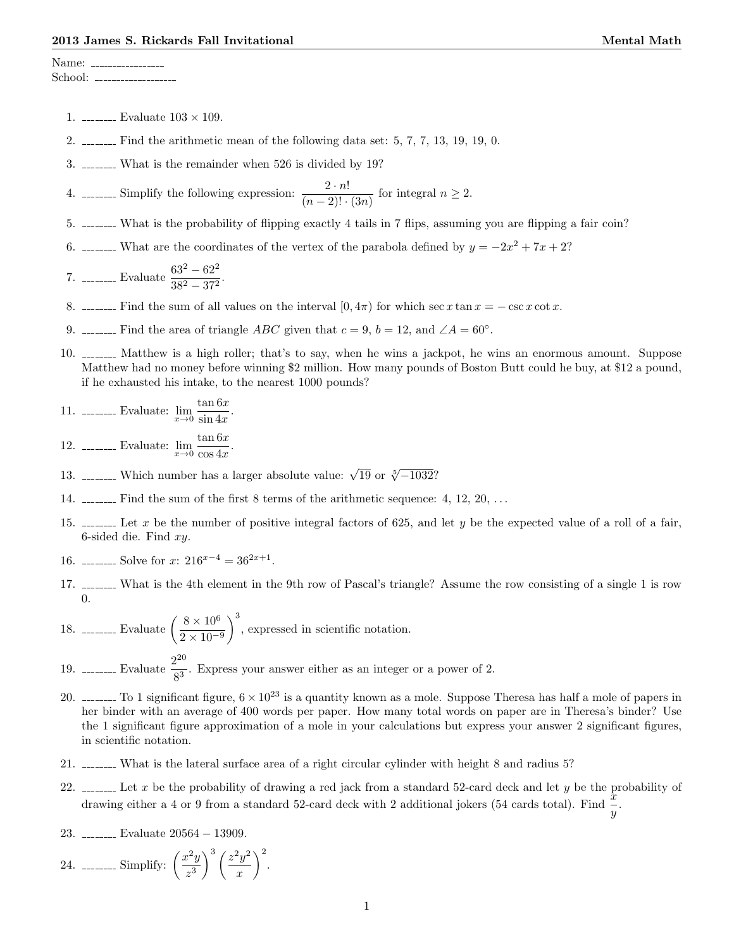Name: School: \_\_\_\_\_\_\_\_\_\_\_\_

- 1. \_\_\_\_\_\_\_\_ Evaluate  $103 \times 109$ .
- 2.  $\frac{1}{2}$  Find the arithmetic mean of the following data set: 5, 7, 7, 13, 19, 19, 0.
- 3. What is the remainder when 526 is divided by 19?

4. \_\_\_\_\_\_ Simplify the following expression:  $\frac{2 \cdot n!}{(n-2)! \cdot (3n)}$  for integral  $n \geq 2$ .

- 5. What is the probability of flipping exactly 4 tails in 7 flips, assuming you are flipping a fair coin?
- 6. \_\_\_\_\_\_\_ What are the coordinates of the vertex of the parabola defined by  $y = -2x^2 + 7x + 2$ ?

7. \_\_\_\_\_\_\_\_ Evaluate 
$$
\frac{63^2 - 62^2}{38^2 - 37^2}.
$$

- 8. Find the sum of all values on the interval  $[0, 4\pi)$  for which sec x tan  $x = -\csc x \cot x$ .
- 9. \_\_\_\_\_\_\_ Find the area of triangle *ABC* given that  $c = 9$ ,  $b = 12$ , and  $\angle A = 60^\circ$ .
- 10. Matthew is a high roller; that's to say, when he wins a jackpot, he wins an enormous amount. Suppose Matthew had no money before winning \$2 million. How many pounds of Boston Butt could he buy, at \$12 a pound, if he exhausted his intake, to the nearest 1000 pounds?

11. ........ Evaluate: 
$$
\lim_{x \to 0} \frac{\tan 6x}{\sin 4x}.
$$

12. \_\_\_\_\_\_\_\_ Evaluate:  $\lim_{x\to 0} \frac{\tan 6x}{\cos 4x}$  $\frac{\frac{\arccos x}{\csc x}}{\cos 4x}.$ 

- 13. \_\_\_\_\_\_\_ Which number has a larger absolute value:  $\sqrt{19}$  or  $\sqrt[5]{-1032}$ ?
- 14.  $\ldots$  Find the sum of the first 8 terms of the arithmetic sequence: 4, 12, 20,  $\ldots$
- 15.  $\ldots$  Let x be the number of positive integral factors of 625, and let y be the expected value of a roll of a fair, 6-sided die. Find  $xy$ .
- 16. \_\_\_\_\_\_\_ Solve for  $x: 216^{x-4} = 36^{2x+1}$ .
- 17. What is the 4th element in the 9th row of Pascal's triangle? Assume the row consisting of a single 1 is row 0.
- 18. \_\_\_\_\_\_\_\_ Evaluate  $\left(\frac{8 \times 10^6}{2.10^{-10}}\right)$  $2 \times 10^{-9}$ )<sup>3</sup>, expressed in scientific notation.
- 19. \_\_\_\_\_\_\_\_ Evaluate  $\frac{2^{20}}{23}$  $\frac{1}{8^3}$ . Express your answer either as an integer or a power of 2.
- 20.  $\frac{1}{20}$   $\frac{1}{20}$  is a quantity known as a mole. Suppose Theresa has half a mole of papers in her binder with an average of 400 words per paper. How many total words on paper are in Theresa's binder? Use the 1 significant figure approximation of a mole in your calculations but express your answer 2 significant figures, in scientific notation.
- 21. What is the lateral surface area of a right circular cylinder with height 8 and radius 5?
- 22.  $\ldots$  Let x be the probability of drawing a red jack from a standard 52-card deck and let y be the probability of drawing either a 4 or 9 from a standard 52-card deck with 2 additional jokers (54 cards total). Find  $\frac{x}{y}$ .
- 23. Evaluate 20564 − 13909.
- 24. \_\_\_\_\_\_\_\_ Simplify:  $\left(\frac{x^2y}{x^2}\right)$  $z^3$  $\int^3 (z^2 y^2)$  $\boldsymbol{x}$  $\bigg)$ <sup>2</sup>.